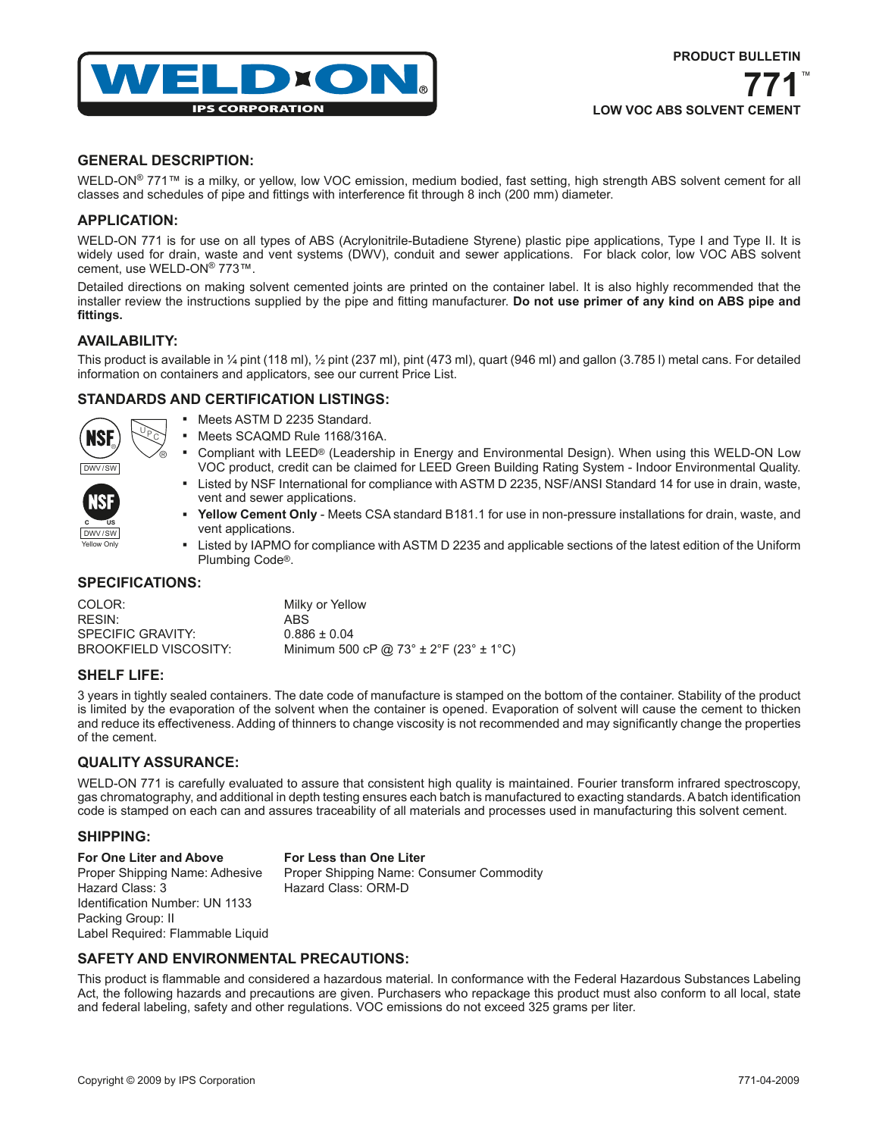

**LOW VOC ABS SOLVENT CEMENT**

#### **GENERAL DESCRIPTION:**

WELD-ON® 771™ is a milky, or yellow, low VOC emission, medium bodied, fast setting, high strength ABS solvent cement for all classes and schedules of pipe and fittings with interference fit through 8 inch (200 mm) diameter.

## **APPLICATION:**

WELD-ON 771 is for use on all types of ABS (Acrylonitrile-Butadiene Styrene) plastic pipe applications, Type I and Type II. It is widely used for drain, waste and vent systems (DWV), conduit and sewer applications. For black color, low VOC ABS solvent cement, use WELD-ON® 773™.

Detailed directions on making solvent cemented joints are printed on the container label. It is also highly recommended that the installer review the instructions supplied by the pipe and fitting manufacturer. **Do not use primer of any kind on ABS pipe and fittings.**

#### **AVAILABILITY:**

This product is available in ¼ pint (118 ml), ½ pint (237 ml), pint (473 ml), quart (946 ml) and gallon (3.785 l) metal cans. For detailed information on containers and applicators, see our current Price List.

## **STANDARDS AND CERTIFICATION LISTINGS:**



Yellow Only **C US**

DWV/SW

- Meets ASTM D 2235 Standard.
- Meets SCAQMD Rule 1168/316A.
- Compliant with LEED® (Leadership in Energy and Environmental Design). When using this WELD-ON Low VOC product, credit can be claimed for LEED Green Building Rating System - Indoor Environmental Quality.
- Listed by NSF International for compliance with ASTM D 2235, NSF/ANSI Standard 14 for use in drain, waste, vent and sewer applications.
- **Yellow Cement Only** Meets CSA standard B181.1 for use in non-pressure installations for drain, waste, and vent applications.
- Listed by IAPMO for compliance with ASTM D 2235 and applicable sections of the latest edition of the Uniform Plumbing Code®.

#### **SPECIFICATIONS:**

®

| COLOR:                | Milky or Yellow                                |
|-----------------------|------------------------------------------------|
| RESIN:                | ABS                                            |
| SPECIFIC GRAVITY:     | $0.886 \pm 0.04$                               |
| BROOKFIELD VISCOSITY: | Minimum 500 cP @ 73° $\pm$ 2°F (23° $\pm$ 1°C) |

#### **SHELF LIFE:**

3 years in tightly sealed containers. The date code of manufacture is stamped on the bottom of the container. Stability of the product is limited by the evaporation of the solvent when the container is opened. Evaporation of solvent will cause the cement to thicken and reduce its effectiveness. Adding of thinners to change viscosity is not recommended and may significantly change the properties of the cement.

### **QUALITY ASSURANCE:**

WELD-ON 771 is carefully evaluated to assure that consistent high quality is maintained. Fourier transform infrared spectroscopy, gas chromatography, and additional in depth testing ensures each batch is manufactured to exacting standards. A batch identification code is stamped on each can and assures traceability of all materials and processes used in manufacturing this solvent cement.

#### **SHIPPING:**

**For One Liter and Above For Less than One Liter** Proper Shipping Name: Adhesive Proper Shipping Name: Consumer Commodity Hazard Class: 3 Hazard Class: ORM-D Identification Number: UN 1133 Packing Group: II Label Required: Flammable Liquid

# **SAFETY AND ENVIRONMENTAL PRECAUTIONS:**

This product is flammable and considered a hazardous material. In conformance with the Federal Hazardous Substances Labeling Act, the following hazards and precautions are given. Purchasers who repackage this product must also conform to all local, state and federal labeling, safety and other regulations. VOC emissions do not exceed 325 grams per liter.